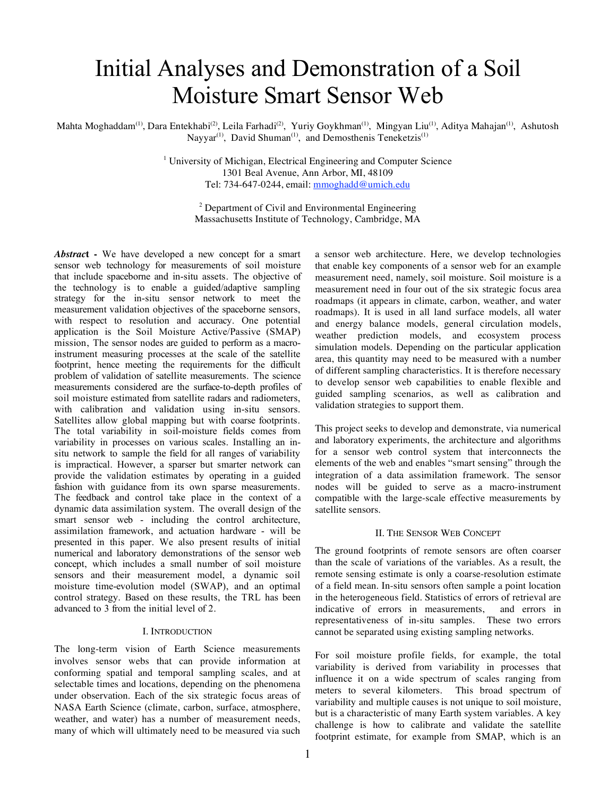# Initial Analyses and Demonstration of a Soil Moisture Smart Sensor Web

Mahta Moghaddam<sup>(1)</sup>, Dara Entekhabi<sup>(2)</sup>, Leila Farhadi<sup>(2)</sup>, Yuriy Goykhman<sup>(1)</sup>, Mingyan Liu<sup>(1)</sup>, Aditya Mahajan<sup>(1)</sup>, Ashutosh Nayyar<sup>(1)</sup>, David Shuman<sup>(1)</sup>, and Demosthenis Teneketzis<sup>(1)</sup>

> <sup>1</sup> University of Michigan, Electrical Engineering and Computer Science 1301 Beal Avenue, Ann Arbor, MI, 48109 Tel: 734-647-0244, email: mmoghadd@umich.edu

> > <sup>2</sup> Department of Civil and Environmental Engineering Massachusetts Institute of Technology, Cambridge, MA

*Abstrac***t -** We have developed a new concept for a smart sensor web technology for measurements of soil moisture that include spaceborne and in-situ assets. The objective of the technology is to enable a guided/adaptive sampling strategy for the in-situ sensor network to meet the measurement validation objectives of the spaceborne sensors, with respect to resolution and accuracy. One potential application is the Soil Moisture Active/Passive (SMAP) mission, The sensor nodes are guided to perform as a macroinstrument measuring processes at the scale of the satellite footprint, hence meeting the requirements for the difficult problem of validation of satellite measurements. The science measurements considered are the surface-to-depth profiles of soil moisture estimated from satellite radars and radiometers, with calibration and validation using in-situ sensors. Satellites allow global mapping but with coarse footprints. The total variability in soil-moisture fields comes from variability in processes on various scales. Installing an insitu network to sample the field for all ranges of variability is impractical. However, a sparser but smarter network can provide the validation estimates by operating in a guided fashion with guidance from its own sparse measurements. The feedback and control take place in the context of a dynamic data assimilation system. The overall design of the smart sensor web - including the control architecture, assimilation framework, and actuation hardware - will be presented in this paper. We also present results of initial numerical and laboratory demonstrations of the sensor web concept, which includes a small number of soil moisture sensors and their measurement model, a dynamic soil moisture time-evolution model (SWAP), and an optimal control strategy. Based on these results, the TRL has been advanced to 3 from the initial level of 2.

### I. INTRODUCTION

The long-term vision of Earth Science measurements involves sensor webs that can provide information at conforming spatial and temporal sampling scales, and at selectable times and locations, depending on the phenomena under observation. Each of the six strategic focus areas of NASA Earth Science (climate, carbon, surface, atmosphere, weather, and water) has a number of measurement needs, many of which will ultimately need to be measured via such

a sensor web architecture. Here, we develop technologies that enable key components of a sensor web for an example measurement need, namely, soil moisture. Soil moisture is a measurement need in four out of the six strategic focus area roadmaps (it appears in climate, carbon, weather, and water roadmaps). It is used in all land surface models, all water and energy balance models, general circulation models, weather prediction models, and ecosystem process simulation models. Depending on the particular application area, this quantity may need to be measured with a number of different sampling characteristics. It is therefore necessary to develop sensor web capabilities to enable flexible and guided sampling scenarios, as well as calibration and validation strategies to support them.

This project seeks to develop and demonstrate, via numerical and laboratory experiments, the architecture and algorithms for a sensor web control system that interconnects the elements of the web and enables "smart sensing" through the integration of a data assimilation framework. The sensor nodes will be guided to serve as a macro-instrument compatible with the large-scale effective measurements by satellite sensors.

#### II. THE SENSOR WEB CONCEPT

The ground footprints of remote sensors are often coarser than the scale of variations of the variables. As a result, the remote sensing estimate is only a coarse-resolution estimate of a field mean. In-situ sensors often sample a point location in the heterogeneous field. Statistics of errors of retrieval are indicative of errors in measurements, and errors in representativeness of in-situ samples. These two errors cannot be separated using existing sampling networks.

For soil moisture profile fields, for example, the total variability is derived from variability in processes that influence it on a wide spectrum of scales ranging from meters to several kilometers. This broad spectrum of variability and multiple causes is not unique to soil moisture, but is a characteristic of many Earth system variables. A key challenge is how to calibrate and validate the satellite footprint estimate, for example from SMAP, which is an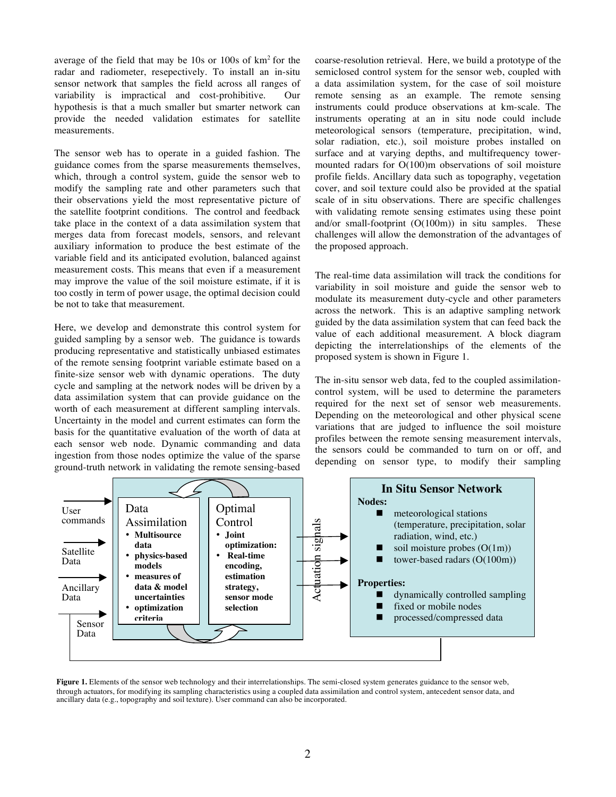average of the field that may be 10s or 100s of  $km<sup>2</sup>$  for the radar and radiometer, resepectively. To install an in-situ sensor network that samples the field across all ranges of variability is impractical and cost-prohibitive. Our hypothesis is that a much smaller but smarter network can provide the needed validation estimates for satellite measurements.

The sensor web has to operate in a guided fashion. The guidance comes from the sparse measurements themselves, which, through a control system, guide the sensor web to modify the sampling rate and other parameters such that their observations yield the most representative picture of the satellite footprint conditions. The control and feedback take place in the context of a data assimilation system that merges data from forecast models, sensors, and relevant auxiliary information to produce the best estimate of the variable field and its anticipated evolution, balanced against measurement costs. This means that even if a measurement may improve the value of the soil moisture estimate, if it is too costly in term of power usage, the optimal decision could be not to take that measurement.

Here, we develop and demonstrate this control system for guided sampling by a sensor web. The guidance is towards producing representative and statistically unbiased estimates of the remote sensing footprint variable estimate based on a finite-size sensor web with dynamic operations. The duty cycle and sampling at the network nodes will be driven by a data assimilation system that can provide guidance on the worth of each measurement at different sampling intervals. Uncertainty in the model and current estimates can form the basis for the quantitative evaluation of the worth of data at each sensor web node. Dynamic commanding and data ingestion from those nodes optimize the value of the sparse ground-truth network in validating the remote sensing-based coarse-resolution retrieval. Here, we build a prototype of the semiclosed control system for the sensor web, coupled with a data assimilation system, for the case of soil moisture remote sensing as an example. The remote sensing instruments could produce observations at km-scale. The instruments operating at an in situ node could include meteorological sensors (temperature, precipitation, wind, solar radiation, etc.), soil moisture probes installed on surface and at varying depths, and multifrequency towermounted radars for O(100)m observations of soil moisture profile fields. Ancillary data such as topography, vegetation cover, and soil texture could also be provided at the spatial scale of in situ observations. There are specific challenges with validating remote sensing estimates using these point and/or small-footprint (O(100m)) in situ samples. These challenges will allow the demonstration of the advantages of the proposed approach.

The real-time data assimilation will track the conditions for variability in soil moisture and guide the sensor web to modulate its measurement duty-cycle and other parameters across the network. This is an adaptive sampling network guided by the data assimilation system that can feed back the value of each additional measurement. A block diagram depicting the interrelationships of the elements of the proposed system is shown in Figure 1.

The in-situ sensor web data, fed to the coupled assimilationcontrol system, will be used to determine the parameters required for the next set of sensor web measurements. Depending on the meteorological and other physical scene variations that are judged to influence the soil moisture profiles between the remote sensing measurement intervals, the sensors could be commanded to turn on or off, and depending on sensor type, to modify their sampling



**Figure 1.** Elements of the sensor web technology and their interrelationships. The semi-closed system generates guidance to the sensor web, through actuators, for modifying its sampling characteristics using a coupled data assimilation and control system, antecedent sensor data, and ancillary data (e.g., topography and soil texture). User command can also be incorporated.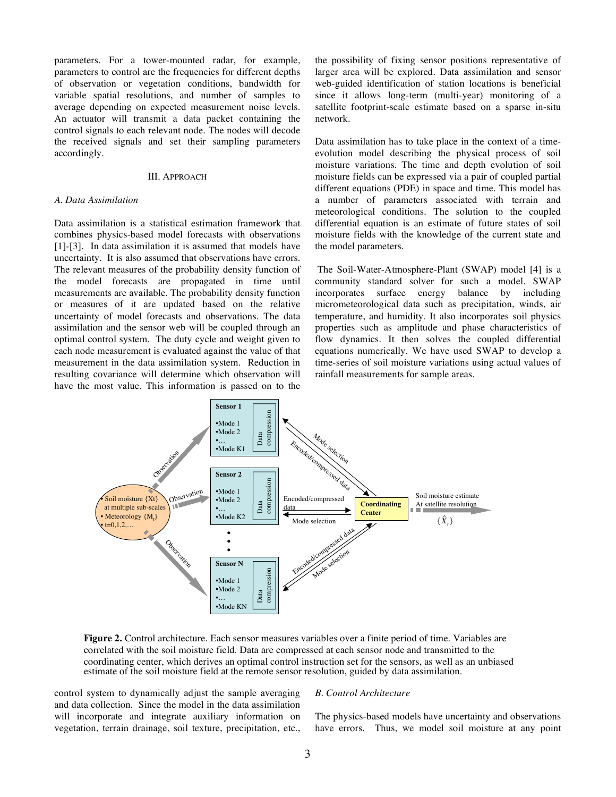parameters. For a tower-mounted radar, for example, parameters to control are the frequencies for different depths of observation or vegetation conditions, bandwidth for variable spatial resolutions, and number of samples to average depending on expected measurement noise levels. An actuator will transmit a data packet containing the control signals to each relevant node. The nodes will decode the received signals and set their sampling parameters accordingly.

# III. APPROACH

# *A. Data Assimilation*

Data assimilation is a statistical estimation framework that combines physics-based model forecasts with observations [1]-[3]. In data assimilation it is assumed that models have uncertainty. It is also assumed that observations have errors. The relevant measures of the probability density function of the model forecasts are propagated in time until measurements are available. The probability density function or measures of it are updated based on the relative uncertainty of model forecasts and observations. The data assimilation and the sensor web will be coupled through an optimal control system. The duty cycle and weight given to each node measurement is evaluated against the value of that measurement in the data assimilation system. Reduction in resulting covariance will determine which observation will have the most value. This information is passed on to the

the possibility of fixing sensor positions representative of larger area will be explored. Data assimilation and sensor web-guided identification of station locations is beneficial since it allows long-term (multi-year) monitoring of a satellite footprint-scale estimate based on a sparse in-situ network.

Data assimilation has to take place in the context of a timeevolution model describing the physical process of soil moisture variations. The time and depth evolution of soil moisture fields can be expressed via a pair of coupled partial different equations (PDE) in space and time. This model has a number of parameters associated with terrain and meteorological conditions. The solution to the coupled differential equation is an estimate of future states of soil moisture fields with the knowledge of the current state and the model parameters.

 The Soil-Water-Atmosphere-Plant (SWAP) model [4] is a community standard solver for such a model. SWAP incorporates surface energy balance by including micrometeorological data such as precipitation, winds, air temperature, and humidity. It also incorporates soil physics properties such as amplitude and phase characteristics of flow dynamics. It then solves the coupled differential equations numerically. We have used SWAP to develop a time-series of soil moisture variations using actual values of rainfall measurements for sample areas.



**Figure 2.** Control architecture. Each sensor measures variables over a finite period of time. Variables are correlated with the soil moisture field. Data are compressed at each sensor node and transmitted to the coordinating center, which derives an optimal control instruction set for the sensors, as well as an unbiased estimate of the soil moisture field at the remote sensor resolution, guided by data assimilation.

control system to dynamically adjust the sample averaging and data collection. Since the model in the data assimilation will incorporate and integrate auxiliary information on vegetation, terrain drainage, soil texture, precipitation, etc.,

#### *B. Control Architecture*

The physics-based models have uncertainty and observations have errors. Thus, we model soil moisture at any point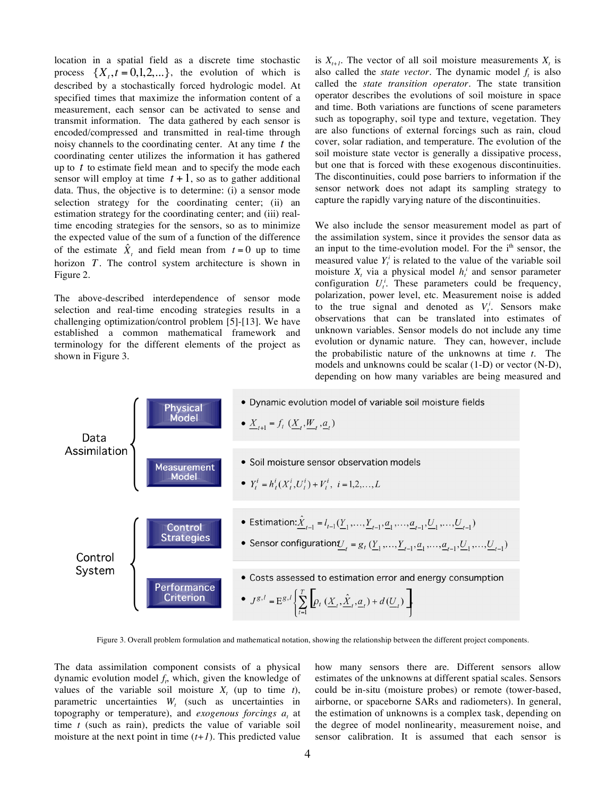location in a spatial field as a discrete time stochastic process  $\{X_t, t = 0,1,2,...\}$ , the evolution of which is described by a stochastically forced hydrologic model. At specified times that maximize the information content of a measurement, each sensor can be activated to sense and transmit information. The data gathered by each sensor is encoded/compressed and transmitted in real-time through noisy channels to the coordinating center. At any time *t* the coordinating center utilizes the information it has gathered up to *t* to estimate field mean and to specify the mode each sensor will employ at time  $t + 1$ , so as to gather additional data. Thus, the objective is to determine: (i) a sensor mode selection strategy for the coordinating center; (ii) an estimation strategy for the coordinating center; and (iii) realtime encoding strategies for the sensors, so as to minimize the expected value of the sum of a function of the difference of the estimate  $\hat{X}_t$  and field mean from  $t = 0$  up to time horizon *T*. The control system architecture is shown in Figure 2.

The above-described interdependence of sensor mode selection and real-time encoding strategies results in a challenging optimization/control problem [5]-[13]. We have established a common mathematical framework and terminology for the different elements of the project as shown in Figure 3.

is  $X_{t+1}$ . The vector of all soil moisture measurements  $X_t$  is also called the *state vector*. The dynamic model  $f_t$  is also called the *state transition operator*. The state transition operator describes the evolutions of soil moisture in space and time. Both variations are functions of scene parameters such as topography, soil type and texture, vegetation. They are also functions of external forcings such as rain, cloud cover, solar radiation, and temperature. The evolution of the soil moisture state vector is generally a dissipative process, but one that is forced with these exogenous discontinuities. The discontinuities, could pose barriers to information if the sensor network does not adapt its sampling strategy to capture the rapidly varying nature of the discontinuities.

We also include the sensor measurement model as part of the assimilation system, since it provides the sensor data as an input to the time-evolution model. For the i<sup>th</sup> sensor, the measured value  $Y_t^i$  is related to the value of the variable soil moisture  $X_t$  via a physical model  $h_t$ <sup>*i*</sup> and sensor parameter configuration  $U_t^i$ . These parameters could be frequency, polarization, power level, etc. Measurement noise is added to the true signal and denoted as  $V_t^i$ . Sensors make observations that can be translated into estimates of unknown variables*.* Sensor models do not include any time evolution or dynamic nature. They can, however, include the probabilistic nature of the unknowns at time *t*. The models and unknowns could be scalar (1-D) or vector (N-D), depending on how many variables are being measured and



Figure 3. Overall problem formulation and mathematical notation, showing the relationship between the different project components.

The data assimilation component consists of a physical dynamic evolution model *f<sup>t</sup>* , which, given the knowledge of values of the variable soil moisture  $X_t$  (up to time *t*), parametric uncertainties *W<sup>t</sup>* (such as uncertainties in topography or temperature), and *exogenous forcings a<sup>t</sup>* at time *t* (such as rain), predicts the value of variable soil moisture at the next point in time  $(t+1)$ . This predicted value

how many sensors there are. Different sensors allow estimates of the unknowns at different spatial scales. Sensors could be in-situ (moisture probes) or remote (tower-based, airborne, or spaceborne SARs and radiometers). In general, the estimation of unknowns is a complex task, depending on the degree of model nonlinearity, measurement noise, and sensor calibration. It is assumed that each sensor is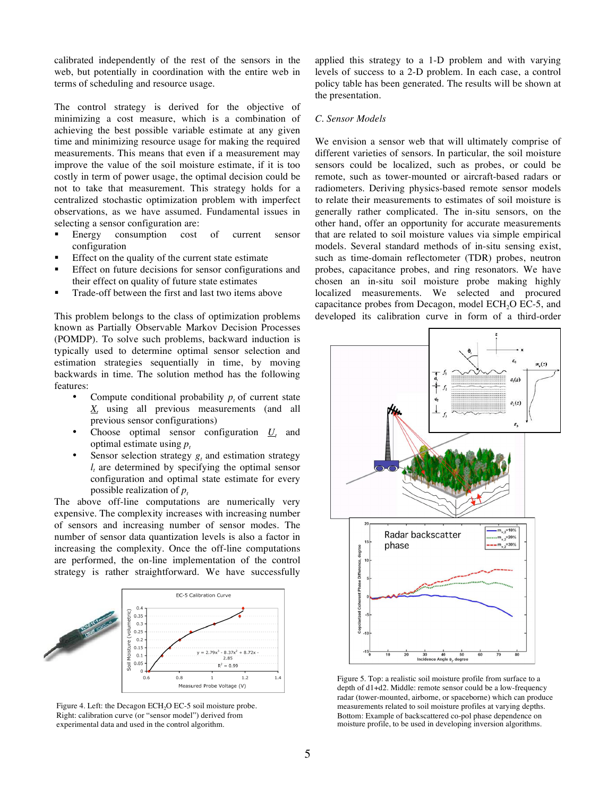calibrated independently of the rest of the sensors in the web, but potentially in coordination with the entire web in terms of scheduling and resource usage.

The control strategy is derived for the objective of minimizing a cost measure, which is a combination of achieving the best possible variable estimate at any given time and minimizing resource usage for making the required measurements. This means that even if a measurement may improve the value of the soil moisture estimate, if it is too costly in term of power usage, the optimal decision could be not to take that measurement. This strategy holds for a centralized stochastic optimization problem with imperfect observations, as we have assumed. Fundamental issues in selecting a sensor configuration are:

- Energy consumption cost of current sensor configuration
- Effect on the quality of the current state estimate
- Effect on future decisions for sensor configurations and their effect on quality of future state estimates
- Trade-off between the first and last two items above

This problem belongs to the class of optimization problems known as Partially Observable Markov Decision Processes (POMDP). To solve such problems, backward induction is typically used to determine optimal sensor selection and estimation strategies sequentially in time, by moving backwards in time. The solution method has the following features:

- Compute conditional probability  $p_t$  of current state *Xt* using all previous measurements (and all previous sensor configurations)
- Choose optimal sensor configuration  $U_t$  and optimal estimate using *p<sup>t</sup>*
- Sensor selection strategy  $g_t$  and estimation strategy *lt* are determined by specifying the optimal sensor configuration and optimal state estimate for every possible realization of *p<sup>t</sup>*

The above off-line computations are numerically very expensive. The complexity increases with increasing number of sensors and increasing number of sensor modes. The number of sensor data quantization levels is also a factor in increasing the complexity. Once the off-line computations are performed, the on-line implementation of the control strategy is rather straightforward. We have successfully



Figure 4. Left: the Decagon ECH<sub>2</sub>O EC-5 soil moisture probe. Right: calibration curve (or "sensor model") derived from experimental data and used in the control algorithm.

applied this strategy to a 1-D problem and with varying levels of success to a 2-D problem. In each case, a control policy table has been generated. The results will be shown at the presentation.

# *C. Sensor Models*

We envision a sensor web that will ultimately comprise of different varieties of sensors. In particular, the soil moisture sensors could be localized, such as probes, or could be remote, such as tower-mounted or aircraft-based radars or radiometers. Deriving physics-based remote sensor models to relate their measurements to estimates of soil moisture is generally rather complicated. The in-situ sensors, on the other hand, offer an opportunity for accurate measurements that are related to soil moisture values via simple empirical models. Several standard methods of in-situ sensing exist, such as time-domain reflectometer (TDR) probes, neutron probes, capacitance probes, and ring resonators. We have chosen an in-situ soil moisture probe making highly localized measurements. We selected and procured capacitance probes from Decagon, model  $ECH<sub>2</sub>O$   $EC-5$ , and developed its calibration curve in form of a third-order



Figure 5. Top: a realistic soil moisture profile from surface to a depth of d1+d2. Middle: remote sensor could be a low-frequency radar (tower-mounted, airborne, or spaceborne) which can produce measurements related to soil moisture profiles at varying depths. Bottom: Example of backscattered co-pol phase dependence on moisture profile, to be used in developing inversion algorithms.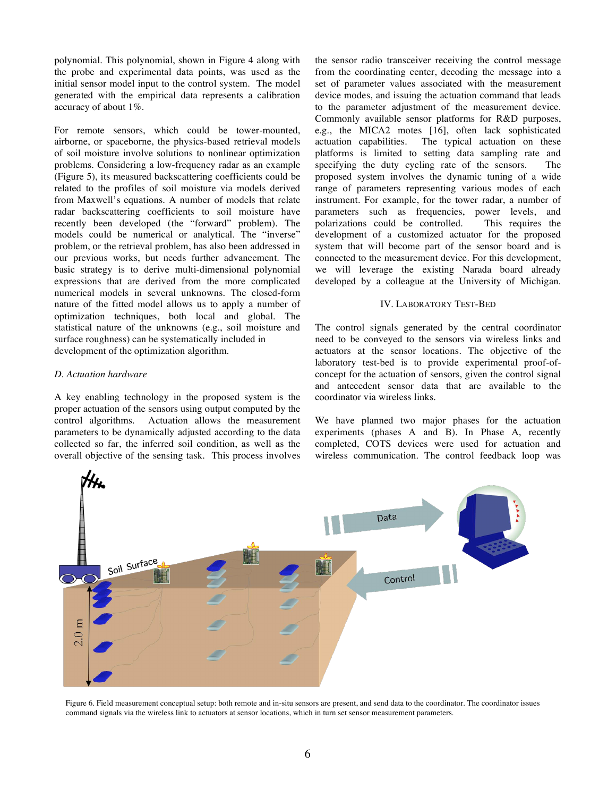polynomial. This polynomial, shown in Figure 4 along with the probe and experimental data points, was used as the initial sensor model input to the control system. The model generated with the empirical data represents a calibration accuracy of about 1%.

For remote sensors, which could be tower-mounted, airborne, or spaceborne, the physics-based retrieval models of soil moisture involve solutions to nonlinear optimization problems. Considering a low-frequency radar as an example (Figure 5), its measured backscattering coefficients could be related to the profiles of soil moisture via models derived from Maxwell's equations. A number of models that relate radar backscattering coefficients to soil moisture have recently been developed (the "forward" problem). The models could be numerical or analytical. The "inverse" problem, or the retrieval problem, has also been addressed in our previous works, but needs further advancement. The basic strategy is to derive multi-dimensional polynomial expressions that are derived from the more complicated numerical models in several unknowns. The closed-form nature of the fitted model allows us to apply a number of optimization techniques, both local and global. The statistical nature of the unknowns (e.g., soil moisture and surface roughness) can be systematically included in development of the optimization algorithm.

# *D. Actuation hardware*

A key enabling technology in the proposed system is the proper actuation of the sensors using output computed by the control algorithms. Actuation allows the measurement parameters to be dynamically adjusted according to the data collected so far, the inferred soil condition, as well as the overall objective of the sensing task. This process involves the sensor radio transceiver receiving the control message from the coordinating center, decoding the message into a set of parameter values associated with the measurement device modes, and issuing the actuation command that leads to the parameter adjustment of the measurement device. Commonly available sensor platforms for R&D purposes, e.g., the MICA2 motes [16], often lack sophisticated actuation capabilities. The typical actuation on these platforms is limited to setting data sampling rate and specifying the duty cycling rate of the sensors. The proposed system involves the dynamic tuning of a wide range of parameters representing various modes of each instrument. For example, for the tower radar, a number of parameters such as frequencies, power levels, and polarizations could be controlled. This requires the development of a customized actuator for the proposed system that will become part of the sensor board and is connected to the measurement device. For this development, we will leverage the existing Narada board already developed by a colleague at the University of Michigan.

# IV. LABORATORY TEST-BED

The control signals generated by the central coordinator need to be conveyed to the sensors via wireless links and actuators at the sensor locations. The objective of the laboratory test-bed is to provide experimental proof-ofconcept for the actuation of sensors, given the control signal and antecedent sensor data that are available to the coordinator via wireless links.

We have planned two major phases for the actuation experiments (phases A and B). In Phase A, recently completed, COTS devices were used for actuation and wireless communication. The control feedback loop was



Figure 6. Field measurement conceptual setup: both remote and in-situ sensors are present, and send data to the coordinator. The coordinator issues command signals via the wireless link to actuators at sensor locations, which in turn set sensor measurement parameters.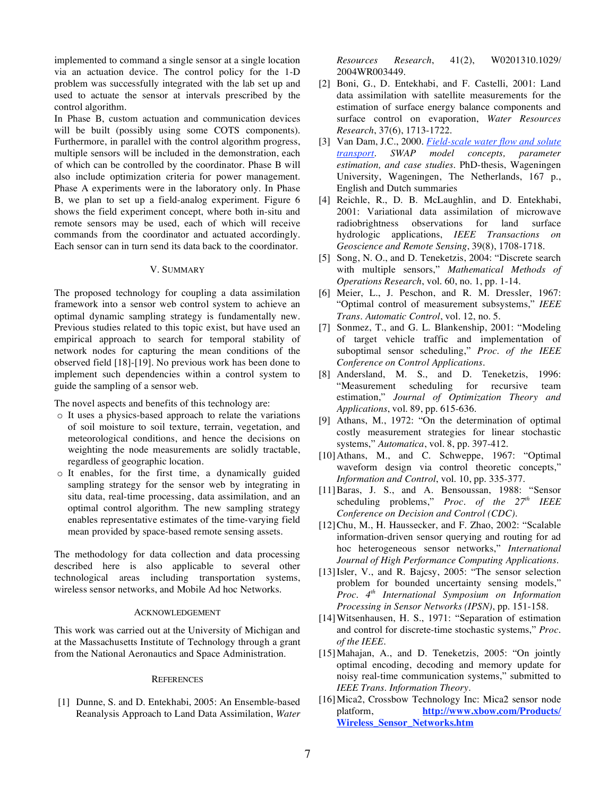implemented to command a single sensor at a single location via an actuation device. The control policy for the 1-D problem was successfully integrated with the lab set up and used to actuate the sensor at intervals prescribed by the control algorithm.

In Phase B, custom actuation and communication devices will be built (possibly using some COTS components). Furthermore, in parallel with the control algorithm progress, multiple sensors will be included in the demonstration, each of which can be controlled by the coordinator. Phase B will also include optimization criteria for power management. Phase A experiments were in the laboratory only. In Phase B, we plan to set up a field-analog experiment. Figure 6 shows the field experiment concept, where both in-situ and remote sensors may be used, each of which will receive commands from the coordinator and actuated accordingly. Each sensor can in turn send its data back to the coordinator.

## V. SUMMARY

The proposed technology for coupling a data assimilation framework into a sensor web control system to achieve an optimal dynamic sampling strategy is fundamentally new. Previous studies related to this topic exist, but have used an empirical approach to search for temporal stability of network nodes for capturing the mean conditions of the observed field [18]-[19]. No previous work has been done to implement such dependencies within a control system to guide the sampling of a sensor web.

The novel aspects and benefits of this technology are:

- o It uses a physics-based approach to relate the variations of soil moisture to soil texture, terrain, vegetation, and meteorological conditions, and hence the decisions on weighting the node measurements are solidly tractable, regardless of geographic location.
- o It enables, for the first time, a dynamically guided sampling strategy for the sensor web by integrating in situ data, real-time processing, data assimilation, and an optimal control algorithm. The new sampling strategy enables representative estimates of the time-varying field mean provided by space-based remote sensing assets.

The methodology for data collection and data processing described here is also applicable to several other technological areas including transportation systems, wireless sensor networks, and Mobile Ad hoc Networks.

#### ACKNOWLEDGEMENT

This work was carried out at the University of Michigan and at the Massachusetts Institute of Technology through a grant from the National Aeronautics and Space Administration.

### **REFERENCES**

[1] Dunne, S. and D. Entekhabi, 2005: An Ensemble-based Reanalysis Approach to Land Data Assimilation, *Water*  *Resources Research*, 41(2), W0201310.1029/ 2004WR003449.

- [2] Boni, G., D. Entekhabi, and F. Castelli, 2001: Land data assimilation with satellite measurements for the estimation of surface energy balance components and surface control on evaporation, *Water Resources Research*, 37(6), 1713-1722.
- [3] Van Dam, J.C., 2000. *Field-scale water flow and solute transport. SWAP model concepts, parameter estimation, and case studies.* PhD-thesis, Wageningen University, Wageningen, The Netherlands, 167 p., English and Dutch summaries
- [4] Reichle, R., D. B. McLaughlin, and D. Entekhabi, 2001: Variational data assimilation of microwave radiobrightness observations for land surface hydrologic applications, *IEEE Transactions on Geoscience and Remote Sensing*, 39(8), 1708-1718.
- [5] Song, N. O., and D. Teneketzis, 2004: "Discrete search" with multiple sensors," *Mathematical Methods of Operations Research*, vol. 60, no. 1, pp. 1-14.
- [6] Meier, L., J. Peschon, and R. M. Dressler, 1967: "Optimal control of measurement subsystems," *IEEE Trans. Automatic Control*, vol. 12, no. 5.
- [7] Sonmez, T., and G. L. Blankenship, 2001: "Modeling of target vehicle traffic and implementation of suboptimal sensor scheduling," *Proc. of the IEEE Conference on Control Applications*.
- [8] Andersland, M. S., and D. Teneketzis, 1996: "Measurement scheduling for recursive team estimation," *Journal of Optimization Theory and Applications*, vol. 89, pp. 615-636.
- [9] Athans, M., 1972: "On the determination of optimal costly measurement strategies for linear stochastic systems," *Automatica*, vol. 8, pp. 397-412.
- [10]Athans, M., and C. Schweppe, 1967: "Optimal waveform design via control theoretic concepts," *Information and Control*, vol. 10, pp. 335-377.
- [11]Baras, J. S., and A. Bensoussan, 1988: "Sensor scheduling problems," *Proc. of the 27th IEEE Conference on Decision and Control (CDC)*.
- [12]Chu, M., H. Haussecker, and F. Zhao, 2002: "Scalable information-driven sensor querying and routing for ad hoc heterogeneous sensor networks," *International Journal of High Performance Computing Applications*.
- [13] Isler, V., and R. Bajcsy, 2005: "The sensor selection problem for bounded uncertainty sensing models," *Proc. 4th International Symposium on Information Processing in Sensor Networks (IPSN)*, pp. 151-158.
- [14]Witsenhausen, H. S., 1971: "Separation of estimation and control for discrete-time stochastic systems," *Proc. of the IEEE*.
- [15]Mahajan, A., and D. Teneketzis, 2005: "On jointly optimal encoding, decoding and memory update for noisy real-time communication systems," submitted to *IEEE Trans. Information Theory*.
- [16] Mica2, Crossbow Technology Inc: Mica2 sensor node platform, **http://www.xbow.com/Products/ Wireless\_Sensor\_Networks.htm**